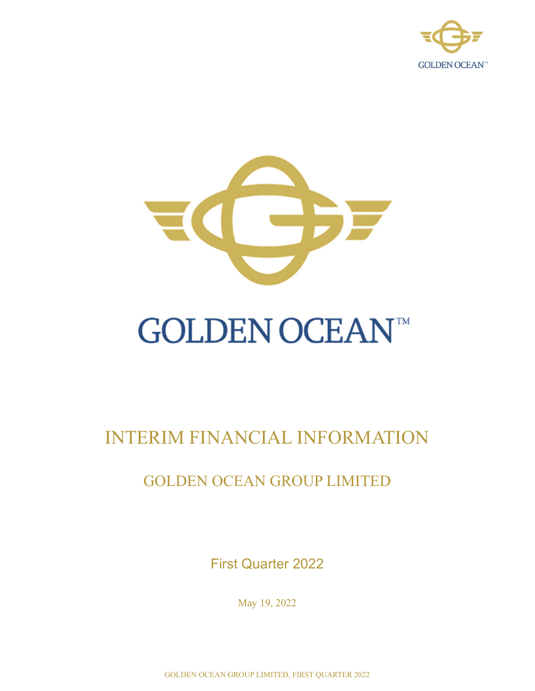



# **GOLDEN OCEAN™**

# INTERIM FINANCIAL INFORMATION

## GOLDEN OCEAN GROUP LIMITED

First Quarter 2022

May 19, 2022

GOLDEN OCEAN GROUP LIMITED, FIRST QUARTER 2022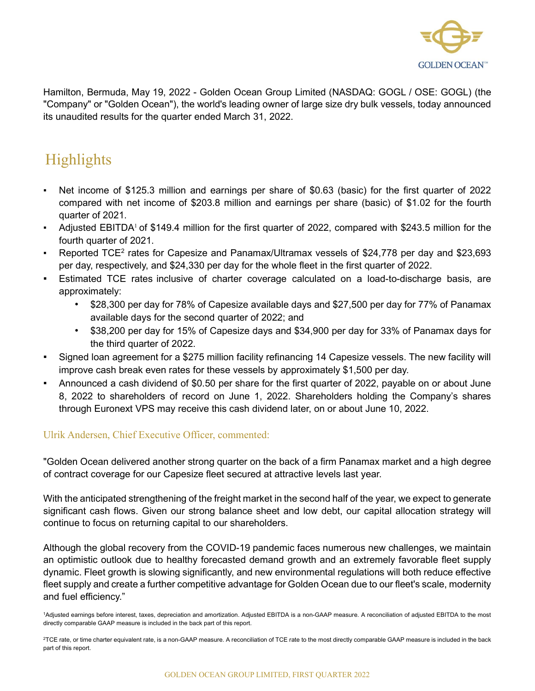

Hamilton, Bermuda, May 19, 2022 - Golden Ocean Group Limited (NASDAQ: GOGL / OSE: GOGL) (the "Company" or "Golden Ocean"), the world's leading owner of large size dry bulk vessels, today announced its unaudited results for the quarter ended March 31, 2022.

# Highlights

- Net income of \$125.3 million and earnings per share of \$0.63 (basic) for the first quarter of 2022 compared with net income of \$203.8 million and earnings per share (basic) of \$1.02 for the fourth quarter of 2021.
- Adjusted EBITDA<sup>1</sup> of \$149.4 million for the first quarter of 2022, compared with \$243.5 million for the fourth quarter of 2021.
- **•** Reported TCE<sup>2</sup> rates for Capesize and Panamax/Ultramax vessels of \$24,778 per day and \$23,693 per day, respectively, and \$24,330 per day for the whole fleet in the first quarter of 2022.
- Estimated TCE rates inclusive of charter coverage calculated on a load-to-discharge basis, are approximately:
	- \$28,300 per day for 78% of Capesize available days and \$27,500 per day for 77% of Panamax available days for the second quarter of 2022; and
	- \$38,200 per day for 15% of Capesize days and \$34,900 per day for 33% of Panamax days for the third quarter of 2022.
- Signed loan agreement for a \$275 million facility refinancing 14 Capesize vessels. The new facility will improve cash break even rates for these vessels by approximately \$1,500 per day.
- Announced a cash dividend of \$0.50 per share for the first quarter of 2022, payable on or about June 8, 2022 to shareholders of record on June 1, 2022. Shareholders holding the Company's shares through Euronext VPS may receive this cash dividend later, on or about June 10, 2022.

### Ulrik Andersen, Chief Executive Officer, commented:

"Golden Ocean delivered another strong quarter on the back of a firm Panamax market and a high degree of contract coverage for our Capesize fleet secured at attractive levels last year.

With the anticipated strengthening of the freight market in the second half of the year, we expect to generate significant cash flows. Given our strong balance sheet and low debt, our capital allocation strategy will continue to focus on returning capital to our shareholders.

Although the global recovery from the COVID-19 pandemic faces numerous new challenges, we maintain an optimistic outlook due to healthy forecasted demand growth and an extremely favorable fleet supply dynamic. Fleet growth is slowing significantly, and new environmental regulations will both reduce effective fleet supply and create a further competitive advantage for Golden Ocean due to our fleet's scale, modernity and fuel efficiency."

<sup>1</sup>Adjusted earnings before interest, taxes, depreciation and amortization. Adjusted EBITDA is a non-GAAP measure. A reconciliation of adjusted EBITDA to the most directly comparable GAAP measure is included in the back part of this report.

 $2$ TCE rate, or time charter equivalent rate, is a non-GAAP measure. A reconciliation of TCE rate to the most directly comparable GAAP measure is included in the back part of this report.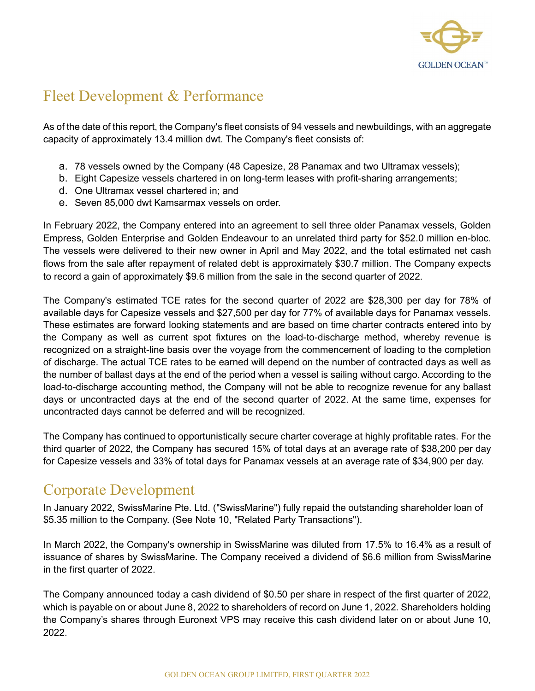

### Fleet Development & Performance

As of the date of this report, the Company's fleet consists of 94 vessels and newbuildings, with an aggregate capacity of approximately 13.4 million dwt. The Company's fleet consists of:

- a. 78 vessels owned by the Company (48 Capesize, 28 Panamax and two Ultramax vessels);
- b. Eight Capesize vessels chartered in on long-term leases with profit-sharing arrangements;
- d. One Ultramax vessel chartered in; and
- e. Seven 85,000 dwt Kamsarmax vessels on order.

In February 2022, the Company entered into an agreement to sell three older Panamax vessels, Golden Empress, Golden Enterprise and Golden Endeavour to an unrelated third party for \$52.0 million en-bloc. The vessels were delivered to their new owner in April and May 2022, and the total estimated net cash flows from the sale after repayment of related debt is approximately \$30.7 million. The Company expects to record a gain of approximately \$9.6 million from the sale in the second quarter of 2022.

The Company's estimated TCE rates for the second quarter of 2022 are \$28,300 per day for 78% of available days for Capesize vessels and \$27,500 per day for 77% of available days for Panamax vessels. These estimates are forward looking statements and are based on time charter contracts entered into by the Company as well as current spot fixtures on the load-to-discharge method, whereby revenue is recognized on a straight-line basis over the voyage from the commencement of loading to the completion of discharge. The actual TCE rates to be earned will depend on the number of contracted days as well as the number of ballast days at the end of the period when a vessel is sailing without cargo. According to the load-to-discharge accounting method, the Company will not be able to recognize revenue for any ballast days or uncontracted days at the end of the second quarter of 2022. At the same time, expenses for uncontracted days cannot be deferred and will be recognized.

The Company has continued to opportunistically secure charter coverage at highly profitable rates. For the third quarter of 2022, the Company has secured 15% of total days at an average rate of \$38,200 per day for Capesize vessels and 33% of total days for Panamax vessels at an average rate of \$34,900 per day.

### Corporate Development

In January 2022, SwissMarine Pte. Ltd. ("SwissMarine") fully repaid the outstanding shareholder loan of \$5.35 million to the Company. (See Note 10, "Related Party Transactions").

In March 2022, the Company's ownership in SwissMarine was diluted from 17.5% to 16.4% as a result of issuance of shares by SwissMarine. The Company received a dividend of \$6.6 million from SwissMarine in the first quarter of 2022.

The Company announced today a cash dividend of \$0.50 per share in respect of the first quarter of 2022, which is payable on or about June 8, 2022 to shareholders of record on June 1, 2022. Shareholders holding the Company's shares through Euronext VPS may receive this cash dividend later on or about June 10, 2022.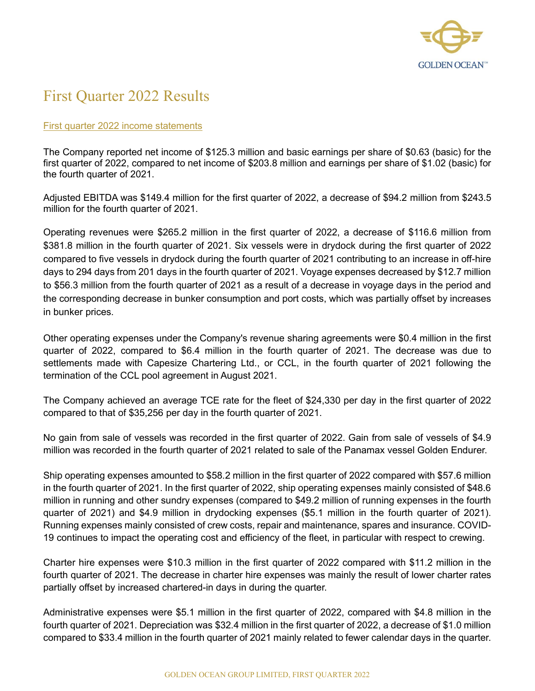

### First Quarter 2022 Results

#### First quarter 2022 income statements

The Company reported net income of \$125.3 million and basic earnings per share of \$0.63 (basic) for the first quarter of 2022, compared to net income of \$203.8 million and earnings per share of \$1.02 (basic) for the fourth quarter of 2021.

Adjusted EBITDA was \$149.4 million for the first quarter of 2022, a decrease of \$94.2 million from \$243.5 million for the fourth quarter of 2021.

Operating revenues were \$265.2 million in the first quarter of 2022, a decrease of \$116.6 million from \$381.8 million in the fourth quarter of 2021. Six vessels were in drydock during the first quarter of 2022 compared to five vessels in drydock during the fourth quarter of 2021 contributing to an increase in off-hire days to 294 days from 201 days in the fourth quarter of 2021. Voyage expenses decreased by \$12.7 million to \$56.3 million from the fourth quarter of 2021 as a result of a decrease in voyage days in the period and the corresponding decrease in bunker consumption and port costs, which was partially offset by increases in bunker prices.

Other operating expenses under the Company's revenue sharing agreements were \$0.4 million in the first quarter of 2022, compared to \$6.4 million in the fourth quarter of 2021. The decrease was due to settlements made with Capesize Chartering Ltd., or CCL, in the fourth quarter of 2021 following the termination of the CCL pool agreement in August 2021.

The Company achieved an average TCE rate for the fleet of \$24,330 per day in the first quarter of 2022 compared to that of \$35,256 per day in the fourth quarter of 2021.

No gain from sale of vessels was recorded in the first quarter of 2022. Gain from sale of vessels of \$4.9 million was recorded in the fourth quarter of 2021 related to sale of the Panamax vessel Golden Endurer.

Ship operating expenses amounted to \$58.2 million in the first quarter of 2022 compared with \$57.6 million in the fourth quarter of 2021. In the first quarter of 2022, ship operating expenses mainly consisted of \$48.6 million in running and other sundry expenses (compared to \$49.2 million of running expenses in the fourth quarter of 2021) and \$4.9 million in drydocking expenses (\$5.1 million in the fourth quarter of 2021). Running expenses mainly consisted of crew costs, repair and maintenance, spares and insurance. COVID-19 continues to impact the operating cost and efficiency of the fleet, in particular with respect to crewing.

Charter hire expenses were \$10.3 million in the first quarter of 2022 compared with \$11.2 million in the fourth quarter of 2021. The decrease in charter hire expenses was mainly the result of lower charter rates partially offset by increased chartered-in days in during the quarter.

Administrative expenses were \$5.1 million in the first quarter of 2022, compared with \$4.8 million in the fourth quarter of 2021. Depreciation was \$32.4 million in the first quarter of 2022, a decrease of \$1.0 million compared to \$33.4 million in the fourth quarter of 2021 mainly related to fewer calendar days in the quarter.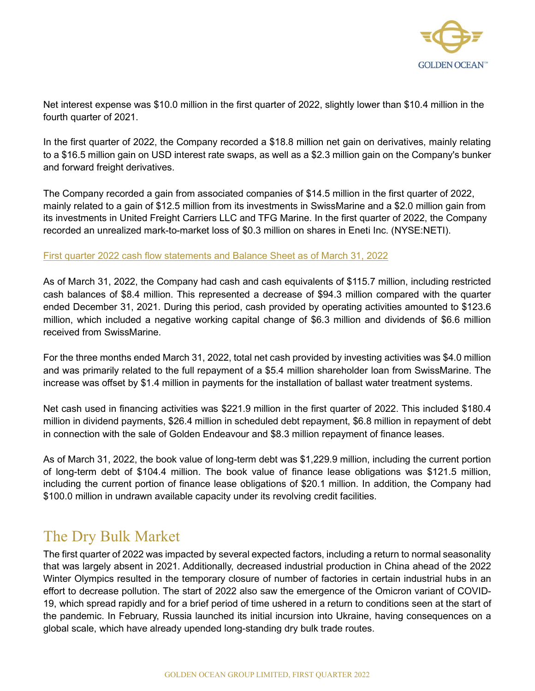

Net interest expense was \$10.0 million in the first quarter of 2022, slightly lower than \$10.4 million in the fourth quarter of 2021.

In the first quarter of 2022, the Company recorded a \$18.8 million net gain on derivatives, mainly relating to a \$16.5 million gain on USD interest rate swaps, as well as a \$2.3 million gain on the Company's bunker and forward freight derivatives.

The Company recorded a gain from associated companies of \$14.5 million in the first quarter of 2022, mainly related to a gain of \$12.5 million from its investments in SwissMarine and a \$2.0 million gain from its investments in United Freight Carriers LLC and TFG Marine. In the first quarter of 2022, the Company recorded an unrealized mark-to-market loss of \$0.3 million on shares in Eneti Inc. (NYSE:NETI).

#### First quarter 2022 cash flow statements and Balance Sheet as of March 31, 2022

As of March 31, 2022, the Company had cash and cash equivalents of \$115.7 million, including restricted cash balances of \$8.4 million. This represented a decrease of \$94.3 million compared with the quarter ended December 31, 2021. During this period, cash provided by operating activities amounted to \$123.6 million, which included a negative working capital change of \$6.3 million and dividends of \$6.6 million received from SwissMarine.

For the three months ended March 31, 2022, total net cash provided by investing activities was \$4.0 million and was primarily related to the full repayment of a \$5.4 million shareholder loan from SwissMarine. The increase was offset by \$1.4 million in payments for the installation of ballast water treatment systems.

Net cash used in financing activities was \$221.9 million in the first quarter of 2022. This included \$180.4 million in dividend payments, \$26.4 million in scheduled debt repayment, \$6.8 million in repayment of debt in connection with the sale of Golden Endeavour and \$8.3 million repayment of finance leases.

As of March 31, 2022, the book value of long-term debt was \$1,229.9 million, including the current portion of long-term debt of \$104.4 million. The book value of finance lease obligations was \$121.5 million, including the current portion of finance lease obligations of \$20.1 million. In addition, the Company had \$100.0 million in undrawn available capacity under its revolving credit facilities.

### The Dry Bulk Market

The first quarter of 2022 was impacted by several expected factors, including a return to normal seasonality that was largely absent in 2021. Additionally, decreased industrial production in China ahead of the 2022 Winter Olympics resulted in the temporary closure of number of factories in certain industrial hubs in an effort to decrease pollution. The start of 2022 also saw the emergence of the Omicron variant of COVID-19, which spread rapidly and for a brief period of time ushered in a return to conditions seen at the start of the pandemic. In February, Russia launched its initial incursion into Ukraine, having consequences on a global scale, which have already upended long-standing dry bulk trade routes.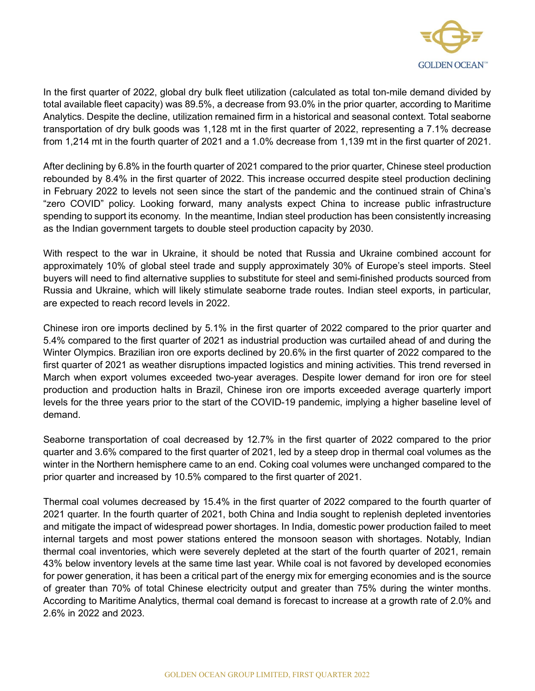

In the first quarter of 2022, global dry bulk fleet utilization (calculated as total ton-mile demand divided by total available fleet capacity) was 89.5%, a decrease from 93.0% in the prior quarter, according to Maritime Analytics. Despite the decline, utilization remained firm in a historical and seasonal context. Total seaborne transportation of dry bulk goods was 1,128 mt in the first quarter of 2022, representing a 7.1% decrease from 1,214 mt in the fourth quarter of 2021 and a 1.0% decrease from 1,139 mt in the first quarter of 2021.

After declining by 6.8% in the fourth quarter of 2021 compared to the prior quarter, Chinese steel production rebounded by 8.4% in the first quarter of 2022. This increase occurred despite steel production declining in February 2022 to levels not seen since the start of the pandemic and the continued strain of China's "zero COVID" policy. Looking forward, many analysts expect China to increase public infrastructure spending to support its economy. In the meantime, Indian steel production has been consistently increasing as the Indian government targets to double steel production capacity by 2030.

With respect to the war in Ukraine, it should be noted that Russia and Ukraine combined account for approximately 10% of global steel trade and supply approximately 30% of Europe's steel imports. Steel buyers will need to find alternative supplies to substitute for steel and semi-finished products sourced from Russia and Ukraine, which will likely stimulate seaborne trade routes. Indian steel exports, in particular, are expected to reach record levels in 2022.

Chinese iron ore imports declined by 5.1% in the first quarter of 2022 compared to the prior quarter and 5.4% compared to the first quarter of 2021 as industrial production was curtailed ahead of and during the Winter Olympics. Brazilian iron ore exports declined by 20.6% in the first quarter of 2022 compared to the first quarter of 2021 as weather disruptions impacted logistics and mining activities. This trend reversed in March when export volumes exceeded two-year averages. Despite lower demand for iron ore for steel production and production halts in Brazil, Chinese iron ore imports exceeded average quarterly import levels for the three years prior to the start of the COVID-19 pandemic, implying a higher baseline level of demand.

Seaborne transportation of coal decreased by 12.7% in the first quarter of 2022 compared to the prior quarter and 3.6% compared to the first quarter of 2021, led by a steep drop in thermal coal volumes as the winter in the Northern hemisphere came to an end. Coking coal volumes were unchanged compared to the prior quarter and increased by 10.5% compared to the first quarter of 2021.

Thermal coal volumes decreased by 15.4% in the first quarter of 2022 compared to the fourth quarter of 2021 quarter. In the fourth quarter of 2021, both China and India sought to replenish depleted inventories and mitigate the impact of widespread power shortages. In India, domestic power production failed to meet internal targets and most power stations entered the monsoon season with shortages. Notably, Indian thermal coal inventories, which were severely depleted at the start of the fourth quarter of 2021, remain 43% below inventory levels at the same time last year. While coal is not favored by developed economies for power generation, it has been a critical part of the energy mix for emerging economies and is the source of greater than 70% of total Chinese electricity output and greater than 75% during the winter months. According to Maritime Analytics, thermal coal demand is forecast to increase at a growth rate of 2.0% and 2.6% in 2022 and 2023.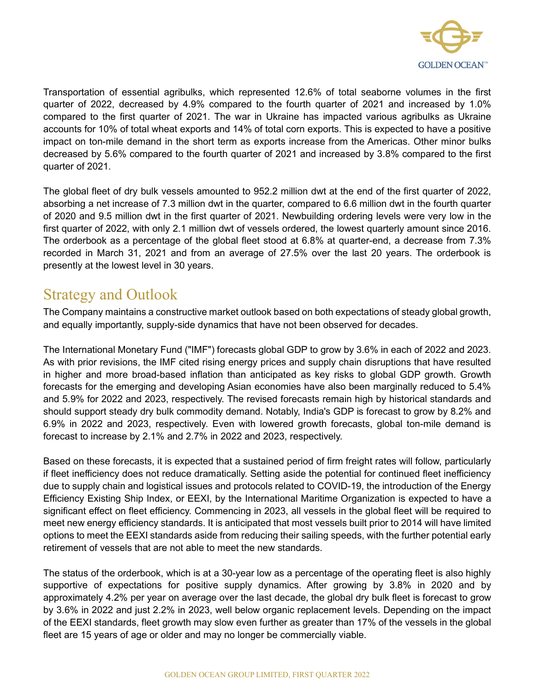

Transportation of essential agribulks, which represented 12.6% of total seaborne volumes in the first quarter of 2022, decreased by 4.9% compared to the fourth quarter of 2021 and increased by 1.0% compared to the first quarter of 2021. The war in Ukraine has impacted various agribulks as Ukraine accounts for 10% of total wheat exports and 14% of total corn exports. This is expected to have a positive impact on ton-mile demand in the short term as exports increase from the Americas. Other minor bulks decreased by 5.6% compared to the fourth quarter of 2021 and increased by 3.8% compared to the first quarter of 2021.

The global fleet of dry bulk vessels amounted to 952.2 million dwt at the end of the first quarter of 2022, absorbing a net increase of 7.3 million dwt in the quarter, compared to 6.6 million dwt in the fourth quarter of 2020 and 9.5 million dwt in the first quarter of 2021. Newbuilding ordering levels were very low in the first quarter of 2022, with only 2.1 million dwt of vessels ordered, the lowest quarterly amount since 2016. The orderbook as a percentage of the global fleet stood at 6.8% at quarter-end, a decrease from 7.3% recorded in March 31, 2021 and from an average of 27.5% over the last 20 years. The orderbook is presently at the lowest level in 30 years.

### Strategy and Outlook

The Company maintains a constructive market outlook based on both expectations of steady global growth, and equally importantly, supply-side dynamics that have not been observed for decades.

The International Monetary Fund ("IMF") forecasts global GDP to grow by 3.6% in each of 2022 and 2023. As with prior revisions, the IMF cited rising energy prices and supply chain disruptions that have resulted in higher and more broad-based inflation than anticipated as key risks to global GDP growth. Growth forecasts for the emerging and developing Asian economies have also been marginally reduced to 5.4% and 5.9% for 2022 and 2023, respectively. The revised forecasts remain high by historical standards and should support steady dry bulk commodity demand. Notably, India's GDP is forecast to grow by 8.2% and 6.9% in 2022 and 2023, respectively. Even with lowered growth forecasts, global ton-mile demand is forecast to increase by 2.1% and 2.7% in 2022 and 2023, respectively.

Based on these forecasts, it is expected that a sustained period of firm freight rates will follow, particularly if fleet inefficiency does not reduce dramatically. Setting aside the potential for continued fleet inefficiency due to supply chain and logistical issues and protocols related to COVID-19, the introduction of the Energy Efficiency Existing Ship Index, or EEXI, by the International Maritime Organization is expected to have a significant effect on fleet efficiency. Commencing in 2023, all vessels in the global fleet will be required to meet new energy efficiency standards. It is anticipated that most vessels built prior to 2014 will have limited options to meet the EEXI standards aside from reducing their sailing speeds, with the further potential early retirement of vessels that are not able to meet the new standards.

The status of the orderbook, which is at a 30-year low as a percentage of the operating fleet is also highly supportive of expectations for positive supply dynamics. After growing by 3.8% in 2020 and by approximately 4.2% per year on average over the last decade, the global dry bulk fleet is forecast to grow by 3.6% in 2022 and just 2.2% in 2023, well below organic replacement levels. Depending on the impact of the EEXI standards, fleet growth may slow even further as greater than 17% of the vessels in the global fleet are 15 years of age or older and may no longer be commercially viable.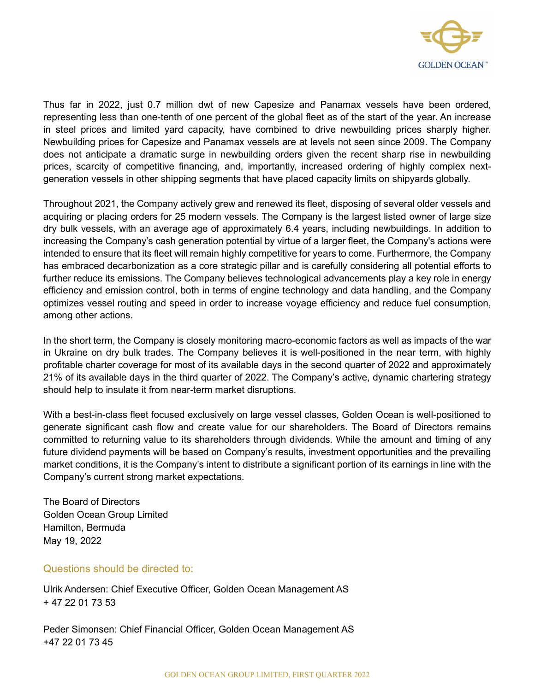

Thus far in 2022, just 0.7 million dwt of new Capesize and Panamax vessels have been ordered, representing less than one-tenth of one percent of the global fleet as of the start of the year. An increase in steel prices and limited yard capacity, have combined to drive newbuilding prices sharply higher. Newbuilding prices for Capesize and Panamax vessels are at levels not seen since 2009. The Company does not anticipate a dramatic surge in newbuilding orders given the recent sharp rise in newbuilding prices, scarcity of competitive financing, and, importantly, increased ordering of highly complex nextgeneration vessels in other shipping segments that have placed capacity limits on shipyards globally.

Throughout 2021, the Company actively grew and renewed its fleet, disposing of several older vessels and acquiring or placing orders for 25 modern vessels. The Company is the largest listed owner of large size dry bulk vessels, with an average age of approximately 6.4 years, including newbuildings. In addition to increasing the Company's cash generation potential by virtue of a larger fleet, the Company's actions were intended to ensure that its fleet will remain highly competitive for years to come. Furthermore, the Company has embraced decarbonization as a core strategic pillar and is carefully considering all potential efforts to further reduce its emissions. The Company believes technological advancements play a key role in energy efficiency and emission control, both in terms of engine technology and data handling, and the Company optimizes vessel routing and speed in order to increase voyage efficiency and reduce fuel consumption, among other actions.

In the short term, the Company is closely monitoring macro-economic factors as well as impacts of the war in Ukraine on dry bulk trades. The Company believes it is well-positioned in the near term, with highly profitable charter coverage for most of its available days in the second quarter of 2022 and approximately 21% of its available days in the third quarter of 2022. The Company's active, dynamic chartering strategy should help to insulate it from near-term market disruptions.

With a best-in-class fleet focused exclusively on large vessel classes, Golden Ocean is well-positioned to generate significant cash flow and create value for our shareholders. The Board of Directors remains committed to returning value to its shareholders through dividends. While the amount and timing of any future dividend payments will be based on Company's results, investment opportunities and the prevailing market conditions, it is the Company's intent to distribute a significant portion of its earnings in line with the Company's current strong market expectations.

The Board of Directors Golden Ocean Group Limited Hamilton, Bermuda May 19, 2022

#### Questions should be directed to:

Ulrik Andersen: Chief Executive Officer, Golden Ocean Management AS + 47 22 01 73 53

Peder Simonsen: Chief Financial Officer, Golden Ocean Management AS +47 22 01 73 45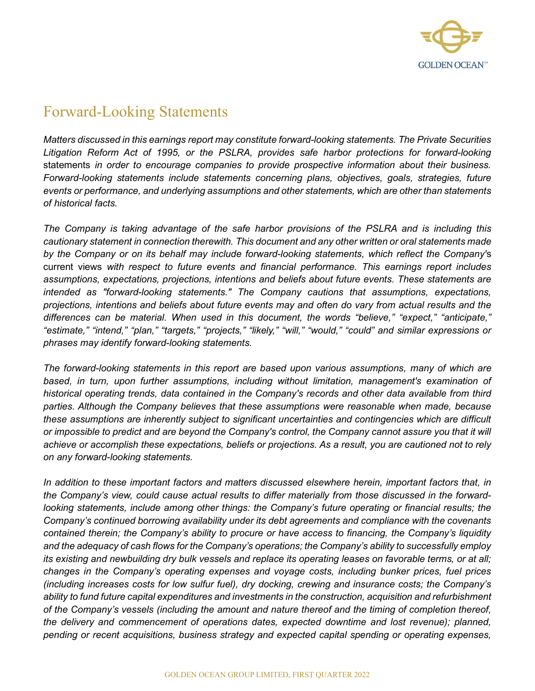

### Forward-Looking Statements

Matters discussed in this earnings report may constitute forward-looking statements. The Private Securities Litigation Reform Act of 1995, or the PSLRA, provides safe harbor protections for forward-looking statements in order to encourage companies to provide prospective information about their business. Forward-looking statements include statements concerning plans, objectives, goals, strategies, future events or performance, and underlying assumptions and other statements, which are other than statements of historical facts.

The Company is taking advantage of the safe harbor provisions of the PSLRA and is including this cautionary statement in connection therewith. This document and any other written or oral statements made by the Company or on its behalf may include forward-looking statements, which reflect the Company's current views with respect to future events and financial performance. This earnings report includes assumptions, expectations, projections, intentions and beliefs about future events. These statements are intended as "forward-looking statements." The Company cautions that assumptions, expectations, projections, intentions and beliefs about future events may and often do vary from actual results and the differences can be material. When used in this document, the words "believe," "expect," "anticipate," "estimate," "intend," "plan," "targets," "projects," "likely," "will," "would," "could" and similar expressions or phrases may identify forward-looking statements.

The forward-looking statements in this report are based upon various assumptions, many of which are based, in turn, upon further assumptions, including without limitation, management's examination of historical operating trends, data contained in the Company's records and other data available from third parties. Although the Company believes that these assumptions were reasonable when made, because these assumptions are inherently subject to significant uncertainties and contingencies which are difficult or impossible to predict and are beyond the Company's control, the Company cannot assure you that it will achieve or accomplish these expectations, beliefs or projections. As a result, you are cautioned not to rely on any forward-looking statements.

In addition to these important factors and matters discussed elsewhere herein, important factors that, in the Company's view, could cause actual results to differ materially from those discussed in the forwardlooking statements, include among other things: the Company's future operating or financial results; the Company's continued borrowing availability under its debt agreements and compliance with the covenants contained therein; the Company's ability to procure or have access to financing, the Company's liquidity and the adequacy of cash flows for the Company's operations; the Company's ability to successfully employ its existing and newbuilding dry bulk vessels and replace its operating leases on favorable terms, or at all; changes in the Company's operating expenses and voyage costs, including bunker prices, fuel prices (including increases costs for low sulfur fuel), dry docking, crewing and insurance costs; the Company's ability to fund future capital expenditures and investments in the construction, acquisition and refurbishment of the Company's vessels (including the amount and nature thereof and the timing of completion thereof, the delivery and commencement of operations dates, expected downtime and lost revenue); planned, pending or recent acquisitions, business strategy and expected capital spending or operating expenses,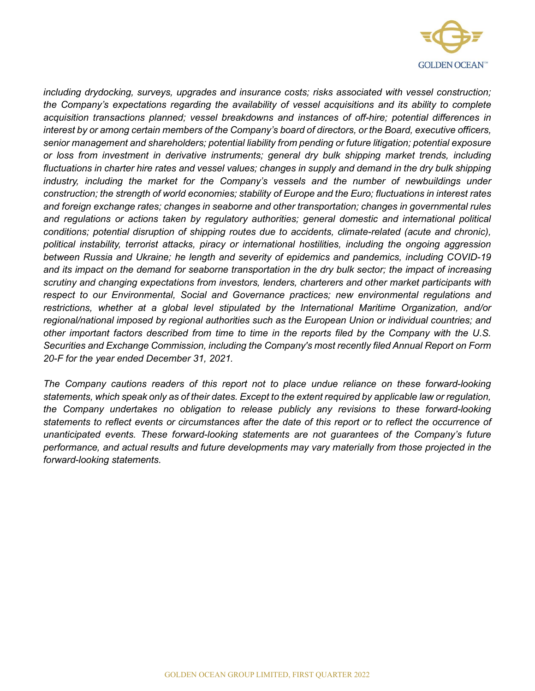

including drydocking, surveys, upgrades and insurance costs; risks associated with vessel construction; the Company's expectations regarding the availability of vessel acquisitions and its ability to complete acquisition transactions planned; vessel breakdowns and instances of off-hire; potential differences in interest by or among certain members of the Company's board of directors, or the Board, executive officers, senior management and shareholders; potential liability from pending or future litigation; potential exposure or loss from investment in derivative instruments; general dry bulk shipping market trends, including fluctuations in charter hire rates and vessel values; changes in supply and demand in the dry bulk shipping industry, including the market for the Company's vessels and the number of newbuildings under construction; the strength of world economies; stability of Europe and the Euro; fluctuations in interest rates and foreign exchange rates; changes in seaborne and other transportation; changes in governmental rules and regulations or actions taken by regulatory authorities; general domestic and international political conditions; potential disruption of shipping routes due to accidents, climate-related (acute and chronic), political instability, terrorist attacks, piracy or international hostilities, including the ongoing aggression between Russia and Ukraine; he length and severity of epidemics and pandemics, including COVID-19 and its impact on the demand for seaborne transportation in the dry bulk sector; the impact of increasing scrutiny and changing expectations from investors, lenders, charterers and other market participants with respect to our Environmental, Social and Governance practices; new environmental regulations and restrictions, whether at a global level stipulated by the International Maritime Organization, and/or regional/national imposed by regional authorities such as the European Union or individual countries; and other important factors described from time to time in the reports filed by the Company with the U.S. Securities and Exchange Commission, including the Company's most recently filed Annual Report on Form 20-F for the year ended December 31, 2021.

The Company cautions readers of this report not to place undue reliance on these forward-looking statements, which speak only as of their dates. Except to the extent required by applicable law or regulation, the Company undertakes no obligation to release publicly any revisions to these forward-looking statements to reflect events or circumstances after the date of this report or to reflect the occurrence of unanticipated events. These forward-looking statements are not guarantees of the Company's future performance, and actual results and future developments may vary materially from those projected in the forward-looking statements.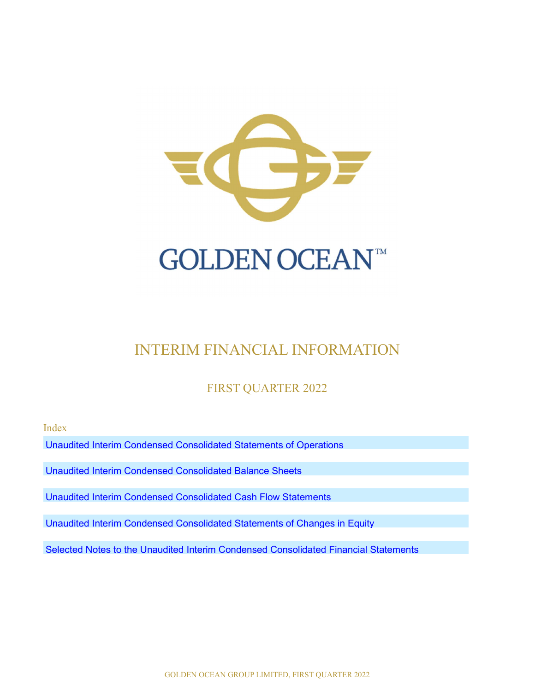

# INTERIM FINANCIAL INFORMATION

### FIRST QUARTER 2022

Index

Unaudited Interim Condensed Consolidated Statements of Operations

Unaudited Interim Condensed Consolidated Balance Sheets

Unaudited Interim Condensed Consolidated Cash Flow Statements

Unaudited Interim Condensed Consolidated Statements of Changes in Equity

Selected Notes to the Unaudited Interim Condensed Consolidated Financial Statements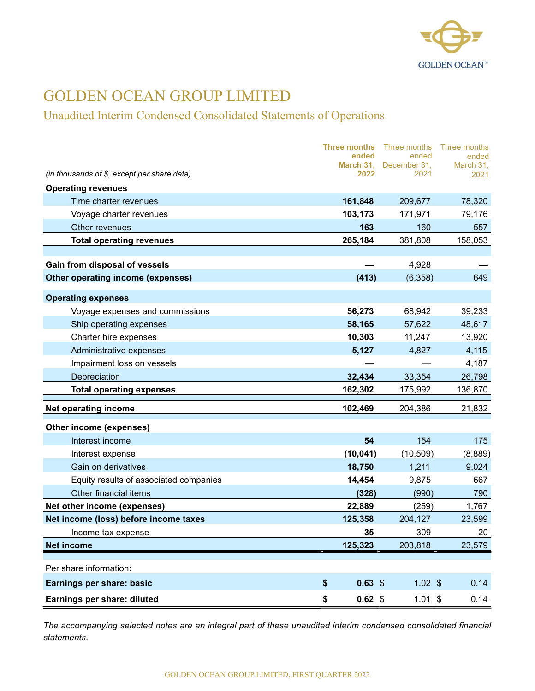

### Unaudited Interim Condensed Consolidated Statements of Operations

|                                             | <b>Three months</b><br>ended | Three months<br>ended          | Three months<br>ended |
|---------------------------------------------|------------------------------|--------------------------------|-----------------------|
| (in thousands of \$, except per share data) | 2022                         | March 31, December 31,<br>2021 | March 31,<br>2021     |
| <b>Operating revenues</b>                   |                              |                                |                       |
| Time charter revenues                       | 161,848                      | 209,677                        | 78,320                |
| Voyage charter revenues                     | 103,173                      | 171,971                        | 79,176                |
| Other revenues                              | 163                          | 160                            | 557                   |
| <b>Total operating revenues</b>             | 265,184                      | 381,808                        | 158,053               |
|                                             |                              |                                |                       |
| Gain from disposal of vessels               |                              | 4,928                          |                       |
| Other operating income (expenses)           | (413)                        | (6,358)                        | 649                   |
| <b>Operating expenses</b>                   |                              |                                |                       |
| Voyage expenses and commissions             | 56,273                       | 68,942                         | 39,233                |
| Ship operating expenses                     | 58,165                       | 57,622                         | 48,617                |
| Charter hire expenses                       | 10,303                       | 11,247                         | 13,920                |
| Administrative expenses                     | 5,127                        | 4,827                          | 4,115                 |
| Impairment loss on vessels                  |                              |                                | 4,187                 |
| Depreciation                                | 32,434                       | 33,354                         | 26,798                |
| <b>Total operating expenses</b>             | 162,302                      | 175,992                        | 136,870               |
| <b>Net operating income</b>                 | 102,469                      | 204,386                        | 21,832                |
| Other income (expenses)                     |                              |                                |                       |
| Interest income                             | 54                           | 154                            | 175                   |
| Interest expense                            | (10, 041)                    | (10, 509)                      | (8,889)               |
| Gain on derivatives                         | 18,750                       | 1,211                          | 9,024                 |
| Equity results of associated companies      | 14,454                       | 9,875                          | 667                   |
| Other financial items                       | (328)                        | (990)                          | 790                   |
| Net other income (expenses)                 | 22,889                       | (259)                          | 1,767                 |
| Net income (loss) before income taxes       | 125,358                      | 204,127                        | 23,599                |
| Income tax expense                          | 35                           | 309                            | 20                    |
| <b>Net income</b>                           | 125,323                      | 203,818                        | 23,579                |
| Per share information:                      |                              |                                |                       |
| Earnings per share: basic                   | \$<br>$0.63$ \$              | $1.02$ \$                      | 0.14                  |
| Earnings per share: diluted                 | $0.62$ \$<br>\$              | $1.01$ \$                      | 0.14                  |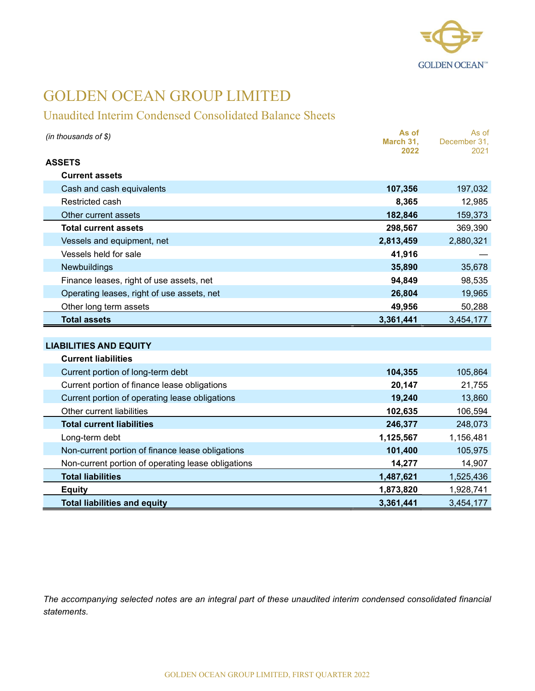

### Unaudited Interim Condensed Consolidated Balance Sheets

| (in thousands of \$)                               | As of<br>March 31,<br>2022 | As of<br>December 31,<br>2021 |
|----------------------------------------------------|----------------------------|-------------------------------|
| <b>ASSETS</b>                                      |                            |                               |
| <b>Current assets</b>                              |                            |                               |
| Cash and cash equivalents                          | 107,356                    | 197,032                       |
| Restricted cash                                    | 8,365                      | 12,985                        |
| Other current assets                               | 182,846                    | 159,373                       |
| <b>Total current assets</b>                        | 298,567                    | 369,390                       |
| Vessels and equipment, net                         | 2,813,459                  | 2,880,321                     |
| Vessels held for sale                              | 41,916                     |                               |
| Newbuildings                                       | 35,890                     | 35,678                        |
| Finance leases, right of use assets, net           | 94,849                     | 98,535                        |
| Operating leases, right of use assets, net         | 26,804                     | 19,965                        |
| Other long term assets                             | 49,956                     | 50,288                        |
| <b>Total assets</b>                                | 3,361,441                  | 3,454,177                     |
|                                                    |                            |                               |
| <b>LIABILITIES AND EQUITY</b>                      |                            |                               |
| <b>Current liabilities</b>                         |                            |                               |
| Current portion of long-term debt                  | 104,355                    | 105,864                       |
| Current portion of finance lease obligations       | 20,147                     | 21,755                        |
| Current portion of operating lease obligations     | 19,240                     | 13,860                        |
| Other current liabilities                          | 102,635                    | 106,594                       |
| <b>Total current liabilities</b>                   | 246,377                    | 248,073                       |
| Long-term debt                                     | 1,125,567                  | 1,156,481                     |
| Non-current portion of finance lease obligations   | 101,400                    | 105,975                       |
| Non-current portion of operating lease obligations | 14,277                     | 14,907                        |
| <b>Total liabilities</b>                           | 1,487,621                  | 1,525,436                     |
| <b>Equity</b>                                      | 1,873,820                  | 1,928,741                     |
| <b>Total liabilities and equity</b>                | 3,361,441                  | 3,454,177                     |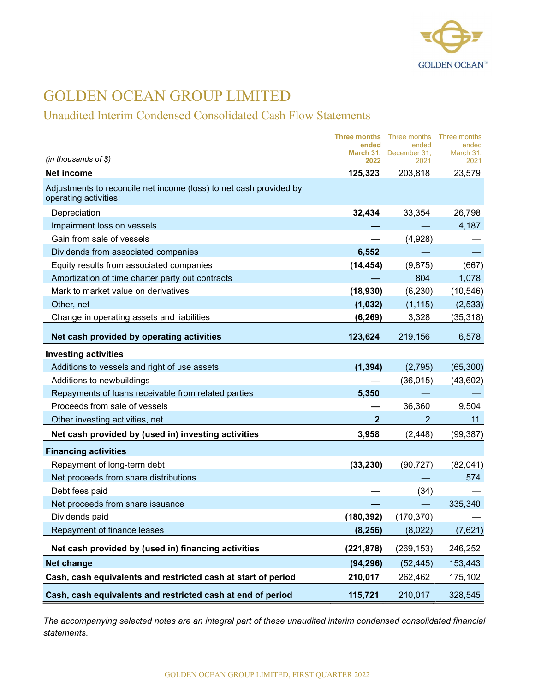

### Unaudited Interim Condensed Consolidated Cash Flow Statements

|                                                                                             | Three months<br>ended | Three months<br>ended          | Three months<br>ended |
|---------------------------------------------------------------------------------------------|-----------------------|--------------------------------|-----------------------|
| (in thousands of \$)                                                                        | 2022                  | March 31, December 31,<br>2021 | March 31,<br>2021     |
| <b>Net income</b>                                                                           | 125,323               | 203,818                        | 23,579                |
| Adjustments to reconcile net income (loss) to net cash provided by<br>operating activities; |                       |                                |                       |
| Depreciation                                                                                | 32,434                | 33,354                         | 26,798                |
| Impairment loss on vessels                                                                  |                       |                                | 4,187                 |
| Gain from sale of vessels                                                                   |                       | (4,928)                        |                       |
| Dividends from associated companies                                                         | 6,552                 |                                |                       |
| Equity results from associated companies                                                    | (14, 454)             | (9,875)                        | (667)                 |
| Amortization of time charter party out contracts                                            |                       | 804                            | 1,078                 |
| Mark to market value on derivatives                                                         | (18,930)              | (6, 230)                       | (10, 546)             |
| Other, net                                                                                  | (1,032)               | (1, 115)                       | (2,533)               |
| Change in operating assets and liabilities                                                  | (6, 269)              | 3,328                          | (35, 318)             |
| Net cash provided by operating activities                                                   | 123,624               | 219,156                        | 6,578                 |
| <b>Investing activities</b>                                                                 |                       |                                |                       |
| Additions to vessels and right of use assets                                                | (1, 394)              | (2,795)                        | (65, 300)             |
| Additions to newbuildings                                                                   |                       | (36, 015)                      | (43,602)              |
| Repayments of loans receivable from related parties                                         | 5,350                 |                                |                       |
| Proceeds from sale of vessels                                                               |                       | 36,360                         | 9,504                 |
| Other investing activities, net                                                             | $\mathbf{2}$          | $\overline{2}$                 | 11                    |
| Net cash provided by (used in) investing activities                                         | 3,958                 | (2, 448)                       | (99, 387)             |
| <b>Financing activities</b>                                                                 |                       |                                |                       |
| Repayment of long-term debt                                                                 | (33, 230)             | (90, 727)                      | (82,041)              |
| Net proceeds from share distributions                                                       |                       |                                | 574                   |
| Debt fees paid                                                                              |                       | (34)                           |                       |
| Net proceeds from share issuance                                                            |                       |                                | 335,340               |
| Dividends paid                                                                              | (180, 392)            | (170, 370)                     |                       |
| Repayment of finance leases                                                                 | (8, 256)              | (8,022)                        | (7,621)               |
| Net cash provided by (used in) financing activities                                         | (221, 878)            | (269, 153)                     | 246,252               |
| <b>Net change</b>                                                                           | (94, 296)             | (52, 445)                      | 153,443               |
| Cash, cash equivalents and restricted cash at start of period                               | 210,017               | 262,462                        | 175,102               |
| Cash, cash equivalents and restricted cash at end of period                                 | 115,721               | 210,017                        | 328,545               |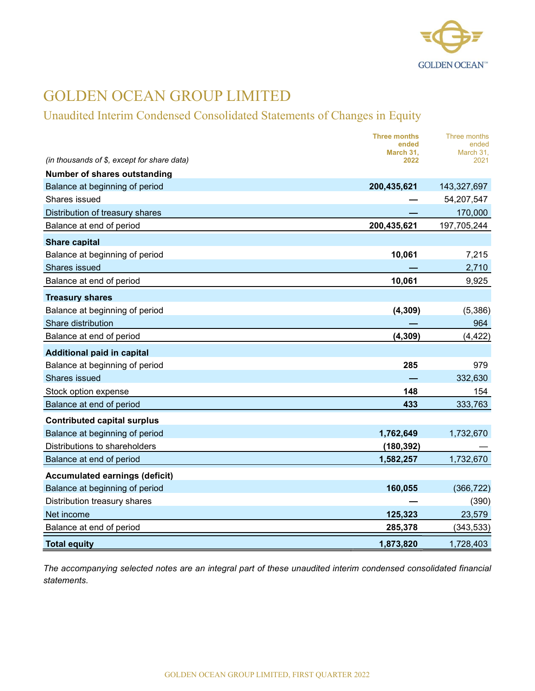

### Unaudited Interim Condensed Consolidated Statements of Changes in Equity

|                                             | <b>Three months</b><br>ended | Three months<br>ended |
|---------------------------------------------|------------------------------|-----------------------|
| (in thousands of \$, except for share data) | March 31,<br>2022            | March 31.<br>2021     |
| Number of shares outstanding                |                              |                       |
| Balance at beginning of period              | 200,435,621                  | 143,327,697           |
| Shares issued                               |                              | 54,207,547            |
| Distribution of treasury shares             |                              | 170,000               |
| Balance at end of period                    | 200,435,621                  | 197,705,244           |
| <b>Share capital</b>                        |                              |                       |
| Balance at beginning of period              | 10,061                       | 7,215                 |
| Shares issued                               |                              | 2,710                 |
| Balance at end of period                    | 10,061                       | 9,925                 |
| <b>Treasury shares</b>                      |                              |                       |
| Balance at beginning of period              | (4, 309)                     | (5,386)               |
| Share distribution                          |                              | 964                   |
| Balance at end of period                    | (4, 309)                     | (4, 422)              |
| <b>Additional paid in capital</b>           |                              |                       |
| Balance at beginning of period              | 285                          | 979                   |
| Shares issued                               |                              | 332,630               |
| Stock option expense                        | 148                          | 154                   |
| Balance at end of period                    | 433                          | 333,763               |
| <b>Contributed capital surplus</b>          |                              |                       |
| Balance at beginning of period              | 1,762,649                    | 1,732,670             |
| Distributions to shareholders               | (180, 392)                   |                       |
| Balance at end of period                    | 1,582,257                    | 1,732,670             |
| <b>Accumulated earnings (deficit)</b>       |                              |                       |
| Balance at beginning of period              | 160,055                      | (366, 722)            |
| Distribution treasury shares                |                              | (390)                 |
| Net income                                  | 125,323                      | 23,579                |
| Balance at end of period                    | 285,378                      | (343, 533)            |
| <b>Total equity</b>                         | 1,873,820                    | 1,728,403             |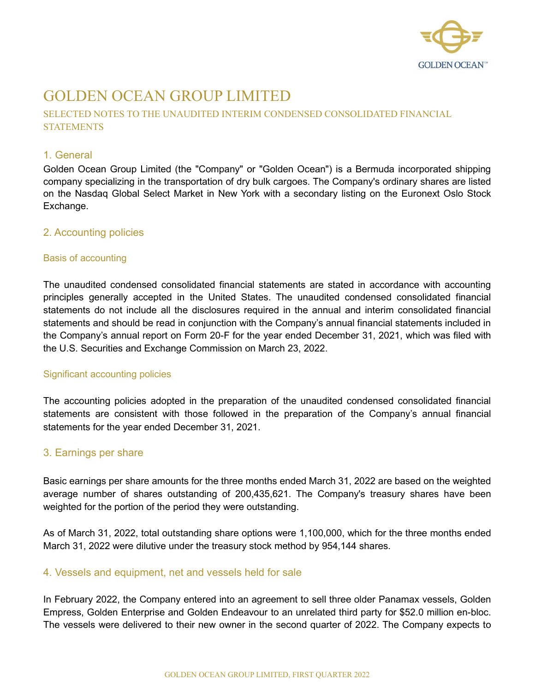

### SELECTED NOTES TO THE UNAUDITED INTERIM CONDENSED CONSOLIDATED FINANCIAL **STATEMENTS**

#### 1. General

Golden Ocean Group Limited (the "Company" or "Golden Ocean") is a Bermuda incorporated shipping company specializing in the transportation of dry bulk cargoes. The Company's ordinary shares are listed on the Nasdaq Global Select Market in New York with a secondary listing on the Euronext Oslo Stock Exchange.

#### 2. Accounting policies

#### Basis of accounting

The unaudited condensed consolidated financial statements are stated in accordance with accounting principles generally accepted in the United States. The unaudited condensed consolidated financial statements do not include all the disclosures required in the annual and interim consolidated financial statements and should be read in conjunction with the Company's annual financial statements included in the Company's annual report on Form 20-F for the year ended December 31, 2021, which was filed with the U.S. Securities and Exchange Commission on March 23, 2022.

#### Significant accounting policies

The accounting policies adopted in the preparation of the unaudited condensed consolidated financial statements are consistent with those followed in the preparation of the Company's annual financial statements for the year ended December 31, 2021.

#### 3. Earnings per share

Basic earnings per share amounts for the three months ended March 31, 2022 are based on the weighted average number of shares outstanding of 200,435,621. The Company's treasury shares have been weighted for the portion of the period they were outstanding.

As of March 31, 2022, total outstanding share options were 1,100,000, which for the three months ended March 31, 2022 were dilutive under the treasury stock method by 954,144 shares.

### 4. Vessels and equipment, net and vessels held for sale

In February 2022, the Company entered into an agreement to sell three older Panamax vessels, Golden Empress, Golden Enterprise and Golden Endeavour to an unrelated third party for \$52.0 million en-bloc. The vessels were delivered to their new owner in the second quarter of 2022. The Company expects to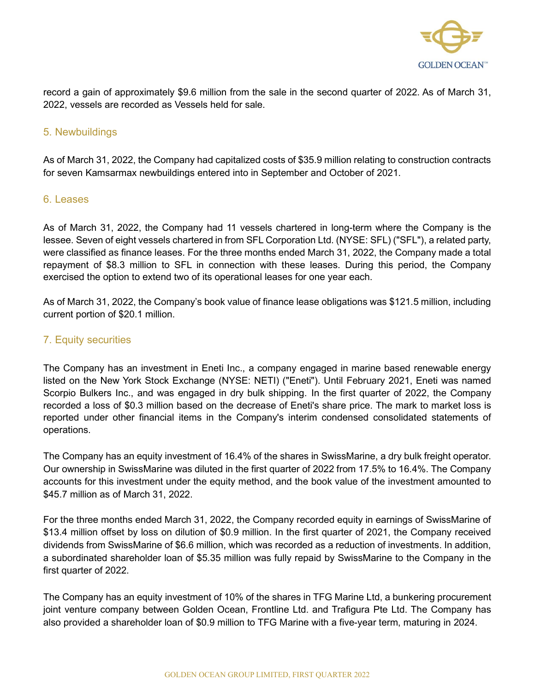

record a gain of approximately \$9.6 million from the sale in the second quarter of 2022. As of March 31, 2022, vessels are recorded as Vessels held for sale.

### 5. Newbuildings

As of March 31, 2022, the Company had capitalized costs of \$35.9 million relating to construction contracts for seven Kamsarmax newbuildings entered into in September and October of 2021.

#### 6. Leases

As of March 31, 2022, the Company had 11 vessels chartered in long-term where the Company is the lessee. Seven of eight vessels chartered in from SFL Corporation Ltd. (NYSE: SFL) ("SFL"), a related party, were classified as finance leases. For the three months ended March 31, 2022, the Company made a total repayment of \$8.3 million to SFL in connection with these leases. During this period, the Company exercised the option to extend two of its operational leases for one year each.

As of March 31, 2022, the Company's book value of finance lease obligations was \$121.5 million, including current portion of \$20.1 million.

### 7. Equity securities

The Company has an investment in Eneti Inc., a company engaged in marine based renewable energy listed on the New York Stock Exchange (NYSE: NETI) ("Eneti"). Until February 2021, Eneti was named Scorpio Bulkers Inc., and was engaged in dry bulk shipping. In the first quarter of 2022, the Company recorded a loss of \$0.3 million based on the decrease of Eneti's share price. The mark to market loss is reported under other financial items in the Company's interim condensed consolidated statements of operations.

The Company has an equity investment of 16.4% of the shares in SwissMarine, a dry bulk freight operator. Our ownership in SwissMarine was diluted in the first quarter of 2022 from 17.5% to 16.4%. The Company accounts for this investment under the equity method, and the book value of the investment amounted to \$45.7 million as of March 31, 2022.

For the three months ended March 31, 2022, the Company recorded equity in earnings of SwissMarine of \$13.4 million offset by loss on dilution of \$0.9 million. In the first quarter of 2021, the Company received dividends from SwissMarine of \$6.6 million, which was recorded as a reduction of investments. In addition, a subordinated shareholder loan of \$5.35 million was fully repaid by SwissMarine to the Company in the first quarter of 2022.

The Company has an equity investment of 10% of the shares in TFG Marine Ltd, a bunkering procurement joint venture company between Golden Ocean, Frontline Ltd. and Trafigura Pte Ltd. The Company has also provided a shareholder loan of \$0.9 million to TFG Marine with a five-year term, maturing in 2024.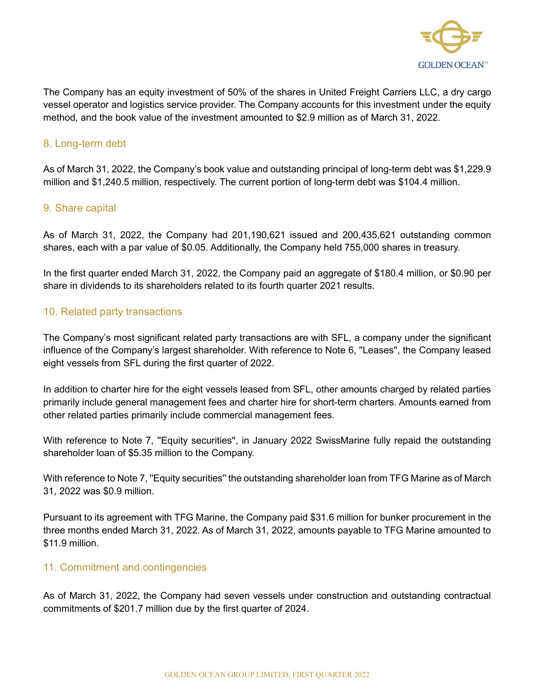

The Company has an equity investment of 50% of the shares in United Freight Carriers LLC, a dry cargo vessel operator and logistics service provider. The Company accounts for this investment under the equity method, and the book value of the investment amounted to \$2.9 million as of March 31, 2022.

### 8. Long-term debt

As of March 31, 2022, the Company's book value and outstanding principal of long-term debt was \$1,229.9 million and \$1,240.5 million, respectively. The current portion of long-term debt was \$104.4 million.

#### 9. Share capital

As of March 31, 2022, the Company had 201,190,621 issued and 200,435,621 outstanding common shares, each with a par value of \$0.05. Additionally, the Company held 755,000 shares in treasury.

In the first quarter ended March 31, 2022, the Company paid an aggregate of \$180.4 million, or \$0.90 per share in dividends to its shareholders related to its fourth quarter 2021 results.

### 10. Related party transactions

The Company's most significant related party transactions are with SFL, a company under the significant influence of the Company's largest shareholder. With reference to Note 6, ''Leases'', the Company leased eight vessels from SFL during the first quarter of 2022.

In addition to charter hire for the eight vessels leased from SFL, other amounts charged by related parties primarily include general management fees and charter hire for short-term charters. Amounts earned from other related parties primarily include commercial management fees.

With reference to Note 7, "Equity securities", in January 2022 SwissMarine fully repaid the outstanding shareholder loan of \$5.35 million to the Company.

With reference to Note 7, "Equity securities" the outstanding shareholder loan from TFG Marine as of March 31, 2022 was \$0.9 million.

Pursuant to its agreement with TFG Marine, the Company paid \$31.6 million for bunker procurement in the three months ended March 31, 2022. As of March 31, 2022, amounts payable to TFG Marine amounted to \$11.9 million.

#### 11. Commitment and contingencies

As of March 31, 2022, the Company had seven vessels under construction and outstanding contractual commitments of \$201.7 million due by the first quarter of 2024.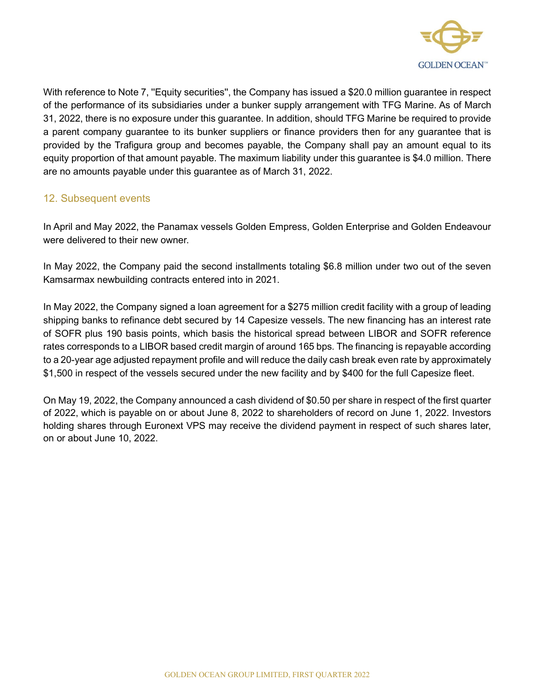

With reference to Note 7, "Equity securities", the Company has issued a \$20.0 million guarantee in respect of the performance of its subsidiaries under a bunker supply arrangement with TFG Marine. As of March 31, 2022, there is no exposure under this guarantee. In addition, should TFG Marine be required to provide a parent company guarantee to its bunker suppliers or finance providers then for any guarantee that is provided by the Trafigura group and becomes payable, the Company shall pay an amount equal to its equity proportion of that amount payable. The maximum liability under this guarantee is \$4.0 million. There are no amounts payable under this guarantee as of March 31, 2022.

### 12. Subsequent events

In April and May 2022, the Panamax vessels Golden Empress, Golden Enterprise and Golden Endeavour were delivered to their new owner.

In May 2022, the Company paid the second installments totaling \$6.8 million under two out of the seven Kamsarmax newbuilding contracts entered into in 2021.

In May 2022, the Company signed a loan agreement for a \$275 million credit facility with a group of leading shipping banks to refinance debt secured by 14 Capesize vessels. The new financing has an interest rate of SOFR plus 190 basis points, which basis the historical spread between LIBOR and SOFR reference rates corresponds to a LIBOR based credit margin of around 165 bps. The financing is repayable according to a 20-year age adjusted repayment profile and will reduce the daily cash break even rate by approximately \$1,500 in respect of the vessels secured under the new facility and by \$400 for the full Capesize fleet.

On May 19, 2022, the Company announced a cash dividend of \$0.50 per share in respect of the first quarter of 2022, which is payable on or about June 8, 2022 to shareholders of record on June 1, 2022. Investors holding shares through Euronext VPS may receive the dividend payment in respect of such shares later, on or about June 10, 2022.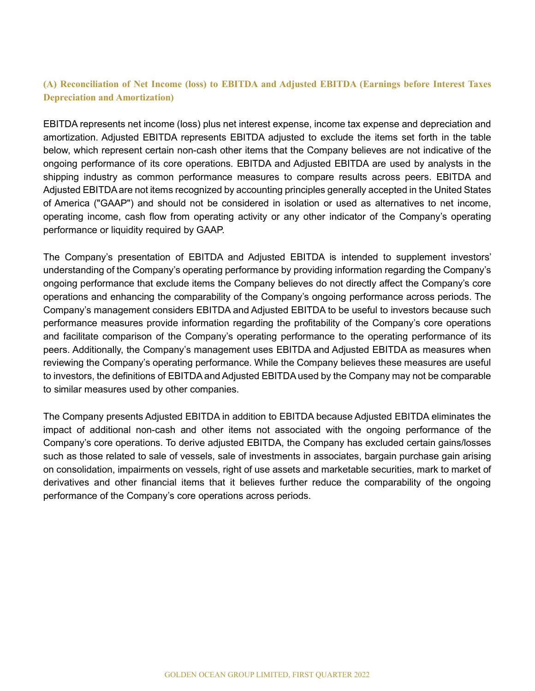### (A) Reconciliation of Net Income (loss) to EBITDA and Adjusted EBITDA (Earnings before Interest Taxes Depreciation and Amortization)

EBITDA represents net income (loss) plus net interest expense, income tax expense and depreciation and amortization. Adjusted EBITDA represents EBITDA adjusted to exclude the items set forth in the table below, which represent certain non-cash other items that the Company believes are not indicative of the ongoing performance of its core operations. EBITDA and Adjusted EBITDA are used by analysts in the shipping industry as common performance measures to compare results across peers. EBITDA and Adjusted EBITDA are not items recognized by accounting principles generally accepted in the United States of America ("GAAP") and should not be considered in isolation or used as alternatives to net income, operating income, cash flow from operating activity or any other indicator of the Company's operating performance or liquidity required by GAAP.

The Company's presentation of EBITDA and Adjusted EBITDA is intended to supplement investors' understanding of the Company's operating performance by providing information regarding the Company's ongoing performance that exclude items the Company believes do not directly affect the Company's core operations and enhancing the comparability of the Company's ongoing performance across periods. The Company's management considers EBITDA and Adjusted EBITDA to be useful to investors because such performance measures provide information regarding the profitability of the Company's core operations and facilitate comparison of the Company's operating performance to the operating performance of its peers. Additionally, the Company's management uses EBITDA and Adjusted EBITDA as measures when reviewing the Company's operating performance. While the Company believes these measures are useful to investors, the definitions of EBITDA and Adjusted EBITDA used by the Company may not be comparable to similar measures used by other companies.

The Company presents Adjusted EBITDA in addition to EBITDA because Adjusted EBITDA eliminates the impact of additional non-cash and other items not associated with the ongoing performance of the Company's core operations. To derive adjusted EBITDA, the Company has excluded certain gains/losses such as those related to sale of vessels, sale of investments in associates, bargain purchase gain arising on consolidation, impairments on vessels, right of use assets and marketable securities, mark to market of derivatives and other financial items that it believes further reduce the comparability of the ongoing performance of the Company's core operations across periods.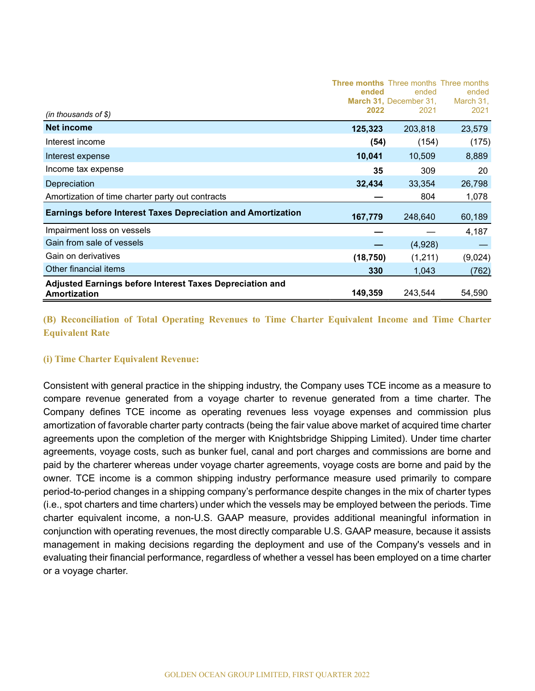| (in thousands of $$$ )                                                          | <b>Three months</b> Three months Three months<br>ended<br>2022 | ended<br>March 31, December 31,<br>2021 | ended<br>March 31,<br>2021 |
|---------------------------------------------------------------------------------|----------------------------------------------------------------|-----------------------------------------|----------------------------|
| <b>Net income</b>                                                               | 125,323                                                        | 203,818                                 | 23,579                     |
| Interest income                                                                 | (54)                                                           | (154)                                   | (175)                      |
| Interest expense                                                                | 10,041                                                         | 10,509                                  | 8,889                      |
| Income tax expense                                                              | 35                                                             | 309                                     | 20                         |
| Depreciation                                                                    | 32,434                                                         | 33,354                                  | 26,798                     |
| Amortization of time charter party out contracts                                |                                                                | 804                                     | 1,078                      |
| <b>Earnings before Interest Taxes Depreciation and Amortization</b>             | 167,779                                                        | 248,640                                 | 60,189                     |
| Impairment loss on vessels                                                      |                                                                |                                         | 4,187                      |
| Gain from sale of vessels                                                       |                                                                | (4,928)                                 |                            |
| Gain on derivatives                                                             | (18, 750)                                                      | (1,211)                                 | (9,024)                    |
| Other financial items                                                           | 330                                                            | 1,043                                   | (762)                      |
| <b>Adjusted Earnings before Interest Taxes Depreciation and</b><br>Amortization | 149,359                                                        | 243,544                                 | 54,590                     |

### (B) Reconciliation of Total Operating Revenues to Time Charter Equivalent Income and Time Charter Equivalent Rate

#### (i) Time Charter Equivalent Revenue:

Consistent with general practice in the shipping industry, the Company uses TCE income as a measure to compare revenue generated from a voyage charter to revenue generated from a time charter. The Company defines TCE income as operating revenues less voyage expenses and commission plus amortization of favorable charter party contracts (being the fair value above market of acquired time charter agreements upon the completion of the merger with Knightsbridge Shipping Limited). Under time charter agreements, voyage costs, such as bunker fuel, canal and port charges and commissions are borne and paid by the charterer whereas under voyage charter agreements, voyage costs are borne and paid by the owner. TCE income is a common shipping industry performance measure used primarily to compare period-to-period changes in a shipping company's performance despite changes in the mix of charter types (i.e., spot charters and time charters) under which the vessels may be employed between the periods. Time charter equivalent income, a non-U.S. GAAP measure, provides additional meaningful information in conjunction with operating revenues, the most directly comparable U.S. GAAP measure, because it assists management in making decisions regarding the deployment and use of the Company's vessels and in evaluating their financial performance, regardless of whether a vessel has been employed on a time charter or a voyage charter.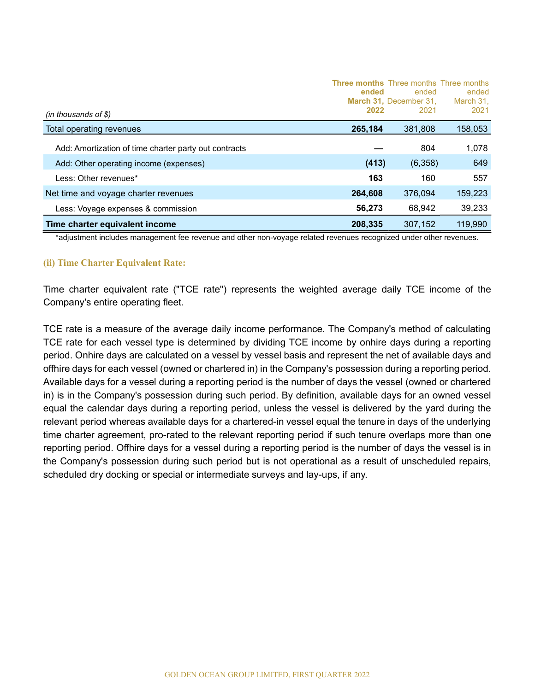|                                                       | ended   | <b>Three months</b> Three months Three months<br>ended<br>March 31. December 31. | ended<br>March 31, |
|-------------------------------------------------------|---------|----------------------------------------------------------------------------------|--------------------|
| $(in$ thousands of \$)                                | 2022    | 2021                                                                             | 2021               |
| Total operating revenues                              | 265,184 | 381,808                                                                          | 158,053            |
| Add: Amortization of time charter party out contracts |         | 804                                                                              | 1,078              |
| Add: Other operating income (expenses)                | (413)   | (6,358)                                                                          | 649                |
| Less: Other revenues*                                 | 163     | 160                                                                              | 557                |
| Net time and voyage charter revenues                  | 264.608 | 376.094                                                                          | 159,223            |
| Less: Voyage expenses & commission                    | 56,273  | 68,942                                                                           | 39,233             |
| Time charter equivalent income                        | 208,335 | 307.152                                                                          | 119,990            |

\*adjustment includes management fee revenue and other non-voyage related revenues recognized under other revenues.

#### (ii) Time Charter Equivalent Rate:

Time charter equivalent rate ("TCE rate") represents the weighted average daily TCE income of the Company's entire operating fleet.

TCE rate is a measure of the average daily income performance. The Company's method of calculating TCE rate for each vessel type is determined by dividing TCE income by onhire days during a reporting period. Onhire days are calculated on a vessel by vessel basis and represent the net of available days and offhire days for each vessel (owned or chartered in) in the Company's possession during a reporting period. Available days for a vessel during a reporting period is the number of days the vessel (owned or chartered in) is in the Company's possession during such period. By definition, available days for an owned vessel equal the calendar days during a reporting period, unless the vessel is delivered by the yard during the relevant period whereas available days for a chartered-in vessel equal the tenure in days of the underlying time charter agreement, pro-rated to the relevant reporting period if such tenure overlaps more than one reporting period. Offhire days for a vessel during a reporting period is the number of days the vessel is in the Company's possession during such period but is not operational as a result of unscheduled repairs, scheduled dry docking or special or intermediate surveys and lay-ups, if any.